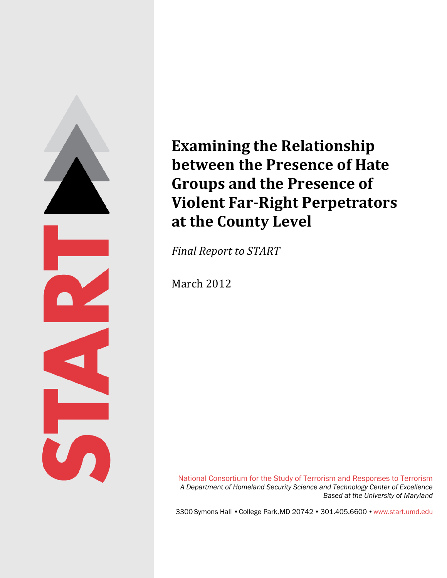

# **Examining the Relationship between the Presence of Hate Groups and the Presence of Violent Far-Right Perpetrators at the County Level**

*Final Report to START*

March 2012

National Consortium for the Study of Terrorism and Responses to Terrorism *A Department of Homeland Security Science and Technology Center of Excellence Based at the University of Maryland*

3300 Symons Hall • College Park, MD 20742 •301.405.6600 • [www.start.umd.edu](http://www.start.umd.edu/)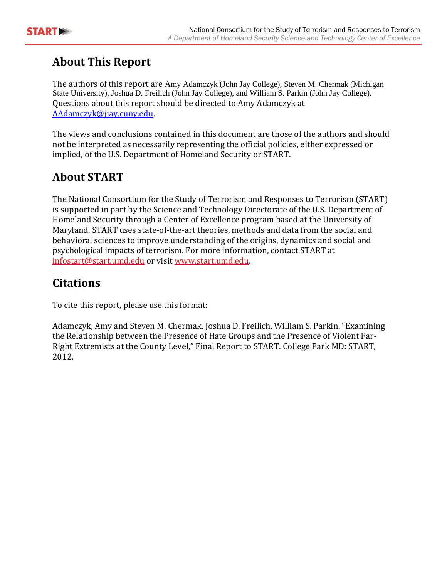

## **About This Report**

The authors of this report are Amy Adamczyk (John Jay College), Steven M. Chermak (Michigan State University), Joshua D. Freilich (John Jay College), and William S. Parkin (John Jay College). Questions about this report should be directed to Amy Adamczyk at [AAdamczyk@jjay.cuny.edu.](mailto:AAdamczyk@jjay.cuny.edu)

The views and conclusions contained in this document are those of the authors and should not be interpreted as necessarily representing the official policies, either expressed or implied, of the U.S. Department of Homeland Security or START.

# **About START**

The National Consortium for the Study of Terrorism and Responses to Terrorism (START) is supported in part by the Science and Technology Directorate of the U.S. Department of Homeland Security through a Center of Excellence program based at the University of Maryland. START uses state-of-the-art theories, methods and data from the social and behavioral sciences to improve understanding of the origins, dynamics and social and psychological impacts of terrorism. For more information, contact START at [infostart@start.umd.edu](mailto:infostart@start.umd.edu) or visit [www.start.umd.edu.](http://www.start.umd.edu/)

### **Citations**

To cite this report, please use this format:

Adamczyk, Amy and Steven M. Chermak, Joshua D. Freilich, William S. Parkin. "Examining the Relationship between the Presence of Hate Groups and the Presence of Violent Far-Right Extremists at the County Level," Final Report to START. College Park MD: START, 2012.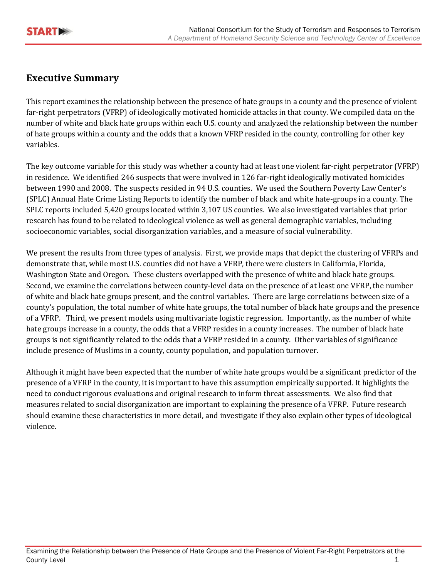### **Executive Summary**

This report examines the relationship between the presence of hate groups in a county and the presence of violent far-right perpetrators (VFRP) of ideologically motivated homicide attacks in that county. We compiled data on the number of white and black hate groups within each U.S. county and analyzed the relationship between the number of hate groups within a county and the odds that a known VFRP resided in the county, controlling for other key variables.

The key outcome variable for this study was whether a county had at least one violent far-right perpetrator (VFRP) in residence. We identified 246 suspects that were involved in 126 far-right ideologically motivated homicides between 1990 and 2008. The suspects resided in 94 U.S. counties. We used the Southern Poverty Law Center's (SPLC) Annual Hate Crime Listing Reports to identify the number of black and white hate-groups in a county. The SPLC reports included 5,420 groups located within 3,107 US counties. We also investigated variables that prior research has found to be related to ideological violence as well as general demographic variables, including socioeconomic variables, social disorganization variables, and a measure of social vulnerability.

We present the results from three types of analysis. First, we provide maps that depict the clustering of VFRPs and demonstrate that, while most U.S. counties did not have a VFRP, there were clusters in California, Florida, Washington State and Oregon. These clusters overlapped with the presence of white and black hate groups. Second, we examine the correlations between county-level data on the presence of at least one VFRP, the number of white and black hate groups present, and the control variables. There are large correlations between size of a county's population, the total number of white hate groups, the total number of black hate groups and the presence of a VFRP. Third, we present models using multivariate logistic regression. Importantly, as the number of white hate groups increase in a county, the odds that a VFRP resides in a county increases. The number of black hate groups is not significantly related to the odds that a VFRP resided in a county. Other variables of significance include presence of Muslims in a county, county population, and population turnover.

Although it might have been expected that the number of white hate groups would be a significant predictor of the presence of a VFRP in the county, it is important to have this assumption empirically supported. It highlights the need to conduct rigorous evaluations and original research to inform threat assessments. We also find that measures related to social disorganization are important to explaining the presence of a VFRP. Future research should examine these characteristics in more detail, and investigate if they also explain other types of ideological violence.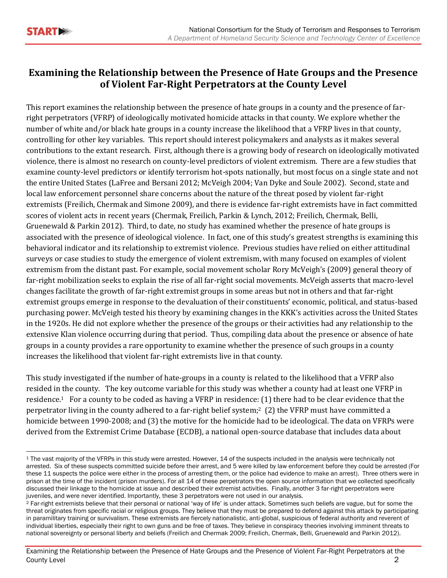### **Examining the Relationship between the Presence of Hate Groups and the Presence of Violent Far-Right Perpetrators at the County Level**

This report examines the relationship between the presence of hate groups in a county and the presence of farright perpetrators (VFRP) of ideologically motivated homicide attacks in that county. We explore whether the number of white and/or black hate groups in a county increase the likelihood that a VFRP lives in that county, controlling for other key variables. This report should interest policymakers and analysts as it makes several contributions to the extant research. First, although there is a growing body of research on ideologically motivated violence, there is almost no research on county-level predictors of violent extremism. There are a few studies that examine county-level predictors or identify terrorism hot-spots nationally, but most focus on a single state and not the entire United States (LaFree and Bersani 2012; McVeigh 2004; Van Dyke and Soule 2002). Second, state and local law enforcement personnel share concerns about the nature of the threat posed by violent far-right extremists (Freilich, Chermak and Simone 2009), and there is evidence far-right extremists have in fact committed scores of violent acts in recent years (Chermak, Freilich, Parkin & Lynch, 2012; Freilich, Chermak, Belli, Gruenewald & Parkin 2012). Third, to date, no study has examined whether the presence of hate groups is associated with the presence of ideological violence. In fact, one of this study's greatest strengths is examining this behavioral indicator and its relationship to extremist violence. Previous studies have relied on either attitudinal surveys or case studies to study the emergence of violent extremism, with many focused on examples of violent extremism from the distant past. For example, social movement scholar Rory McVeigh's (2009) general theory of far-right mobilization seeks to explain the rise of all far-right social movements. McVeigh asserts that macro-level changes facilitate the growth of far-right extremist groups in some areas but not in others and that far-right extremist groups emerge in response to the devaluation of their constituents' economic, political, and status-based purchasing power. McVeigh tested his theory by examining changes in the KKK's activities across the United States in the 1920s. He did not explore whether the presence of the groups or their activities had any relationship to the extensive Klan violence occurring during that period. Thus, compiling data about the presence or absence of hate groups in a county provides a rare opportunity to examine whether the presence of such groups in a county increases the likelihood that violent far-right extremists live in that county.

This study investigated if the number of hate-groups in a county is related to the likelihood that a VFRP also resided in the county. The key outcome variable for this study was whether a county had at least one VFRP in residence.1 For a county to be coded as having a VFRP in residence: (1) there had to be clear evidence that the perpetrator living in the county adhered to a far-right belief system;2 (2) the VFRP must have committed a homicide between 1990-2008; and (3) the motive for the homicide had to be ideological. The data on VFRPs were derived from the Extremist Crime Database (ECDB), a national open-source database that includes data about

 $\overline{\phantom{a}}$ <sup>1</sup> The vast majority of the VFRPs in this study were arrested. However, 14 of the suspects included in the analysis were technically not arrested. Six of these suspects committed suicide before their arrest, and 5 were killed by law enforcement before they could be arrested (For these 11 suspects the police were either in the process of arresting them, or the police had evidence to make an arrest). Three others were in prison at the time of the incident (prison murders). For all 14 of these perpetrators the open source information that we collected specifically discussed their linkage to the homicide at issue and described their extremist activities. Finally, another 3 far-right perpetrators were juveniles, and were never identified. Importantly, these 3 perpetrators were not used in our analysis.

<sup>&</sup>lt;sup>2</sup> Far-right extremists believe that their personal or national 'way of life' is under attack. Sometimes such beliefs are vague, but for some the threat originates from specific racial or religious groups. They believe that they must be prepared to defend against this attack by participating in paramilitary training or survivalism. These extremists are fiercely nationalistic, anti-global, suspicious of federal authority and reverent of individual liberties, especially their right to own guns and be free of taxes. They believe in conspiracy theories involving imminent threats to national sovereignty or personal liberty and beliefs (Freilich and Chermak 2009; Freilich, Chermak, Belli, Gruenewald and Parkin 2012).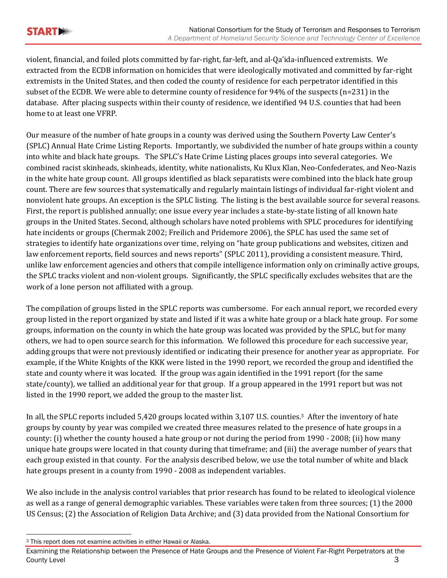violent, financial, and foiled plots committed by far-right, far-left, and al-Qa'ida-influenced extremists. We extracted from the ECDB information on homicides that were ideologically motivated and committed by far-right extremists in the United States, and then coded the county of residence for each perpetrator identified in this subset of the ECDB. We were able to determine county of residence for 94% of the suspects (n=231) in the database. After placing suspects within their county of residence, we identified 94 U.S. counties that had been home to at least one VFRP.

Our measure of the number of hate groups in a county was derived using the Southern Poverty Law Center's (SPLC) Annual Hate Crime Listing Reports. Importantly, we subdivided the number of hate groups within a county into white and black hate groups. The SPLC's Hate Crime Listing places groups into several categories. We combined racist skinheads, skinheads, identity, white nationalists, Ku Klux Klan, Neo-Confederates, and Neo-Nazis in the white hate group count. All groups identified as black separatists were combined into the black hate group count. There are few sources that systematically and regularly maintain listings of individual far-right violent and nonviolent hate groups. An exception is the SPLC listing. The listing is the best available source for several reasons. First, the report is published annually; one issue every year includes a state-by-state listing of all known hate groups in the United States. Second, although scholars have noted problems with SPLC procedures for identifying hate incidents or groups (Chermak 2002; Freilich and Pridemore 2006), the SPLC has used the same set of strategies to identify hate organizations over time, relying on "hate group publications and websites, citizen and law enforcement reports, field sources and news reports" (SPLC 2011), providing a consistent measure. Third, unlike law enforcement agencies and others that compile intelligence information only on criminally active groups, the SPLC tracks violent and non-violent groups. Significantly, the SPLC specifically excludes websites that are the work of a lone person not affiliated with a group.

The compilation of groups listed in the SPLC reports was cumbersome. For each annual report, we recorded every group listed in the report organized by state and listed if it was a white hate group or a black hate group. For some groups, information on the county in which the hate group was located was provided by the SPLC, but for many others, we had to open source search for this information. We followed this procedure for each successive year, adding groups that were not previously identified or indicating their presence for another year as appropriate. For example, if the White Knights of the KKK were listed in the 1990 report, we recorded the group and identified the state and county where it was located. If the group was again identified in the 1991 report (for the same state/county), we tallied an additional year for that group. If a group appeared in the 1991 report but was not listed in the 1990 report, we added the group to the master list.

In all, the SPLC reports included 5,420 groups located within 3,107 U.S. counties.3 After the inventory of hate groups by county by year was compiled we created three measures related to the presence of hate groups in a county: (i) whether the county housed a hate group or not during the period from 1990 - 2008; (ii) how many unique hate groups were located in that county during that timeframe; and (iii) the average number of years that each group existed in that county. For the analysis described below, we use the total number of white and black hate groups present in a county from 1990 - 2008 as independent variables.

We also include in the analysis control variables that prior research has found to be related to ideological violence as well as a range of general demographic variables. These variables were taken from three sources; (1) the 2000 US Census; (2) the Association of Religion Data Archive; and (3) data provided from the National Consortium for

 $\overline{a}$ <sup>3</sup> This report does not examine activities in either Hawaii or Alaska.

Examining the Relationship between the Presence of Hate Groups and the Presence of Violent Far-Right Perpetrators at the County Level 3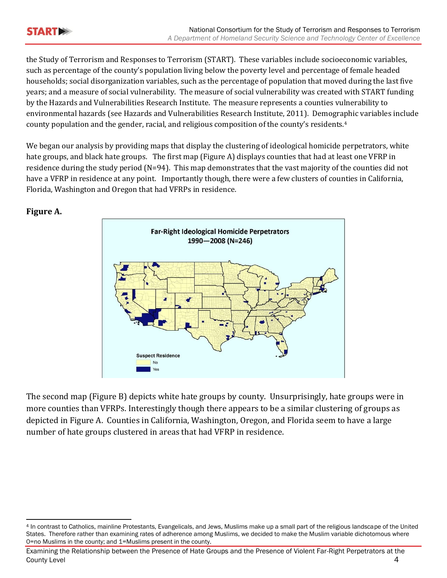the Study of Terrorism and Responses to Terrorism (START). These variables include socioeconomic variables, such as percentage of the county's population living below the poverty level and percentage of female headed households; social disorganization variables, such as the percentage of population that moved during the last five years; and a measure of social vulnerability. The measure of social vulnerability was created with START funding by the Hazards and Vulnerabilities Research Institute. The measure represents a counties vulnerability to environmental hazards (see Hazards and Vulnerabilities Research Institute, 2011). Demographic variables include county population and the gender, racial, and religious composition of the county's residents.<sup>4</sup>

We began our analysis by providing maps that display the clustering of ideological homicide perpetrators, white hate groups, and black hate groups. The first map (Figure A) displays counties that had at least one VFRP in residence during the study period (N=94). This map demonstrates that the vast majority of the counties did not have a VFRP in residence at any point. Importantly though, there were a few clusters of counties in California, Florida, Washington and Oregon that had VFRPs in residence.



#### **Figure A.**

The second map (Figure B) depicts white hate groups by county. Unsurprisingly, hate groups were in more counties than VFRPs. Interestingly though there appears to be a similar clustering of groups as depicted in Figure A. Counties in California, Washington, Oregon, and Florida seem to have a large number of hate groups clustered in areas that had VFRP in residence.

 $\overline{\phantom{a}}$ <sup>4</sup> In contrast to Catholics, mainline Protestants, Evangelicals, and Jews, Muslims make up a small part of the religious landscape of the United States. Therefore rather than examining rates of adherence among Muslims, we decided to make the Muslim variable dichotomous where 0=no Muslims in the county; and 1=Muslims present in the county.

Examining the Relationship between the Presence of Hate Groups and the Presence of Violent Far-Right Perpetrators at the County Level 4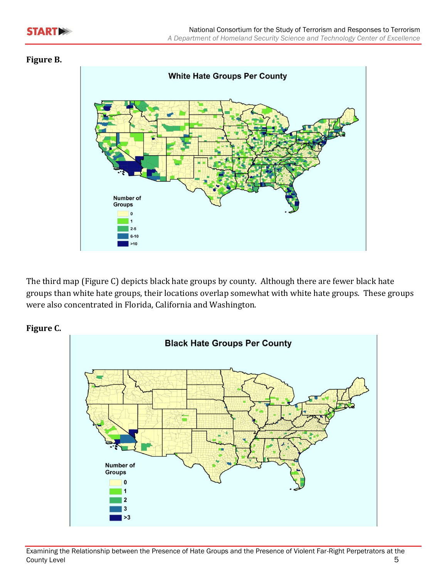#### **Figure B.**



The third map (Figure C) depicts black hate groups by county. Although there are fewer black hate groups than white hate groups, their locations overlap somewhat with white hate groups. These groups were also concentrated in Florida, California and Washington.



#### **Figure C.**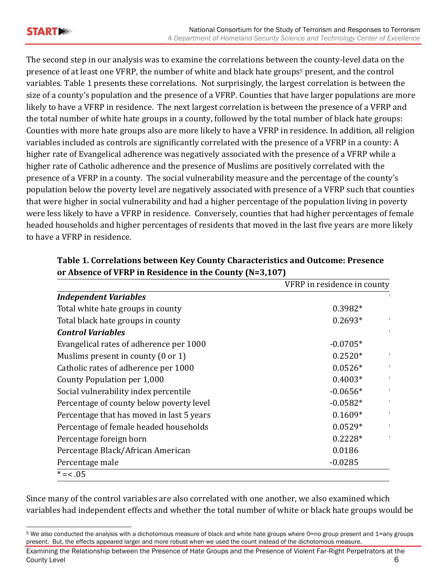The second step in our analysis was to examine the correlations between the county-level data on the presence of at least one VFRP, the number of white and black hate groups<sup>5</sup> present, and the control variables. Table 1 presents these correlations. Not surprisingly, the largest correlation is between the size of a county's population and the presence of a VFRP. Counties that have larger populations are more likely to have a VFRP in residence. The next largest correlation is between the presence of a VFRP and the total number of white hate groups in a county, followed by the total number of black hate groups: Counties with more hate groups also are more likely to have a VFRP in residence. In addition, all religion variables included as controls are significantly correlated with the presence of a VFRP in a county: A higher rate of Evangelical adherence was negatively associated with the presence of a VFRP while a higher rate of Catholic adherence and the presence of Muslims are positively correlated with the presence of a VFRP in a county. The social vulnerability measure and the percentage of the county's population below the poverty level are negatively associated with presence of a VFRP such that counties that were higher in social vulnerability and had a higher percentage of the population living in poverty were less likely to have a VFRP in residence. Conversely, counties that had higher percentages of female headed households and higher percentages of residents that moved in the last five years are more likely to have a VFRP in residence.

|                                               | VFRP in residence in county  |
|-----------------------------------------------|------------------------------|
| <b>Independent Variables</b>                  |                              |
| Total white hate groups in county             | $0.3982*$                    |
| Total black hate groups in county             | $0.2693*$                    |
| <b>Control Variables</b>                      | $\ddot{\phantom{a}}$         |
| Evangelical rates of adherence per 1000       | $-0.0705*$                   |
| Muslims present in county $(0 \text{ or } 1)$ | $0.2520*$<br>$\ddot{\cdot}$  |
| Catholic rates of adherence per 1000          | $0.0526*$                    |
| County Population per 1,000                   | $0.4003*$<br>$\ddot{\cdot}$  |
| Social vulnerability index percentile         | $-0.0656*$<br>÷              |
| Percentage of county below poverty level      | $-0.0582*$<br>$\ddot{\cdot}$ |
| Percentage that has moved in last 5 years     | $0.1609*$<br>:               |
| Percentage of female headed households        | $0.0529*$                    |
| Percentage foreign born                       | $0.2228*$<br>$\ddot{\cdot}$  |
| Percentage Black/African American             | 0.0186                       |
| Percentage male                               | $-0.0285$                    |
| $* = < .05$                                   |                              |

**Table 1. Correlations between Key County Characteristics and Outcome: Presence or Absence of VFRP in Residence in the County (N=3,107)**

Since many of the control variables are also correlated with one another, we also examined which variables had independent effects and whether the total number of white or black hate groups would be

 $\overline{\phantom{a}}$ <sup>5</sup> We also conducted the analysis with a dichotomous measure of black and white hate groups where 0=no group present and 1=any groups present. But, the effects appeared larger and more robust when we used the count instead of the dichotomous measure.

Examining the Relationship between the Presence of Hate Groups and the Presence of Violent Far-Right Perpetrators at the County Level 6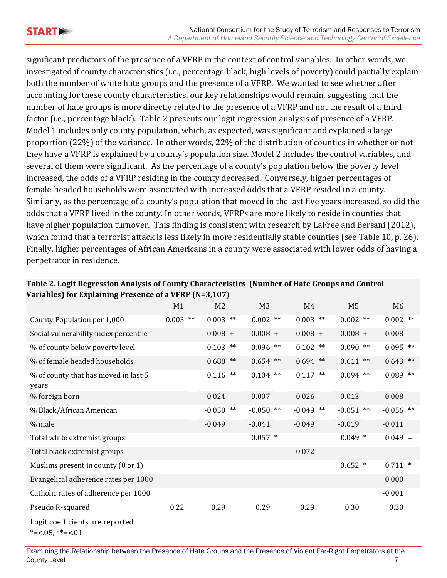significant predictors of the presence of a VFRP in the context of control variables. In other words, we investigated if county characteristics (i.e., percentage black, high levels of poverty) could partially explain both the number of white hate groups and the presence of a VFRP. We wanted to see whether after accounting for these county characteristics, our key relationships would remain, suggesting that the number of hate groups is more directly related to the presence of a VFRP and not the result of a third factor (i.e., percentage black). Table 2 presents our logit regression analysis of presence of a VFRP. Model 1 includes only county population, which, as expected, was significant and explained a large proportion (22%) of the variance. In other words, 22% of the distribution of counties in whether or not they have a VFRP is explained by a county's population size. Model 2 includes the control variables, and several of them were significant. As the percentage of a county's population below the poverty level increased, the odds of a VFRP residing in the county decreased. Conversely, higher percentages of female-headed households were associated with increased odds that a VFRP resided in a county. Similarly, as the percentage of a county's population that moved in the last five years increased, so did the odds that a VFRP lived in the county. In other words, VFRPs are more likely to reside in counties that have higher population turnover. This finding is consistent with research by LaFree and Bersani (2012), which found that a terrorist attack is less likely in more residentially stable counties (see Table 10, p. 26). Finally, higher percentages of African Americans in a county were associated with lower odds of having a perpetrator in residence.

|                                                               | M1         | M <sub>2</sub>    | M <sub>3</sub> | M4          | M <sub>5</sub> | M6          |
|---------------------------------------------------------------|------------|-------------------|----------------|-------------|----------------|-------------|
| County Population per 1,000                                   | $0.003$ ** | $0.003$ **        | $0.002$ **     | $0.003$ **  | $0.002$ **     | $0.002$ **  |
| Social vulnerability index percentile                         |            | $-0.008 +$        | $-0.008 +$     | $-0.008 +$  | $-0.008 +$     | $-0.008 +$  |
| % of county below poverty level                               |            | $-0.103$ **       | $-0.096$ **    | $-0.102$ ** | $-0.090$ **    | $-0.095$ ** |
| % of female headed households                                 |            | $0.688$ **        | $0.654$ **     | $0.694$ **  | $0.611$ **     | $0.643$ **  |
| % of county that has moved in last 5<br>years                 |            | 0.116<br>$***$    | $0.104$ **     | $0.117$ **  | $0.094$ **     | $0.089$ **  |
| % foreign born                                                |            | $-0.024$          | $-0.007$       | $-0.026$    | $-0.013$       | $-0.008$    |
| % Black/African American                                      |            | $-0.050$<br>$***$ | $-0.050$ **    | $-0.049$ ** | $-0.051$ **    | $-0.056$ ** |
| % male                                                        |            | $-0.049$          | $-0.041$       | $-0.049$    | $-0.019$       | $-0.011$    |
| Total white extremist groups                                  |            |                   | $0.057$ *      |             | $0.049$ *      | $0.049 +$   |
| Total black extremist groups                                  |            |                   |                | $-0.072$    |                |             |
| Muslims present in county $(0 \text{ or } 1)$                 |            |                   |                |             | $0.652$ *      | $0.711$ *   |
| Evangelical adherence rates per 1000                          |            |                   |                |             |                | 0.000       |
| Catholic rates of adherence per 1000                          |            |                   |                |             |                | $-0.001$    |
| Pseudo R-squared                                              | 0.22       | 0.29              | 0.29           | 0.29        | 0.30           | 0.30        |
| Logit coefficients are reported<br>*= $< 0.05$ , **= $< 0.01$ |            |                   |                |             |                |             |

#### **Table 2. Logit Regression Analysis of County Characteristics (Number of Hate Groups and Control Variables) for Explaining Presence of a VFRP (N=3,107**)

Examining the Relationship between the Presence of Hate Groups and the Presence of Violent Far-Right Perpetrators at the **County Level** 2008 **County Level**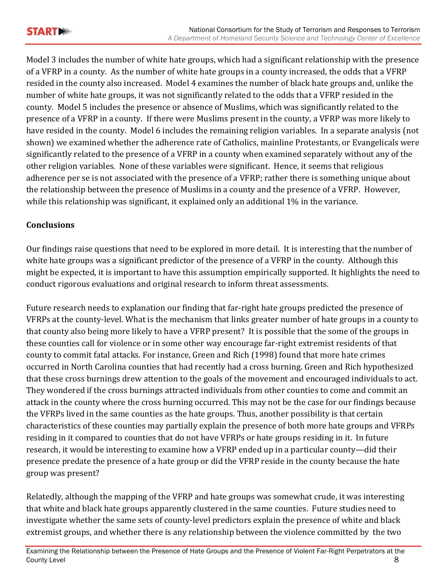

Model 3 includes the number of white hate groups, which had a significant relationship with the presence of a VFRP in a county. As the number of white hate groups in a county increased, the odds that a VFRP resided in the county also increased. Model 4 examines the number of black hate groups and, unlike the number of white hate groups, it was not significantly related to the odds that a VFRP resided in the county. Model 5 includes the presence or absence of Muslims, which was significantly related to the presence of a VFRP in a county. If there were Muslims present in the county, a VFRP was more likely to have resided in the county. Model 6 includes the remaining religion variables. In a separate analysis (not shown) we examined whether the adherence rate of Catholics, mainline Protestants, or Evangelicals were significantly related to the presence of a VFRP in a county when examined separately without any of the other religion variables. None of these variables were significant. Hence, it seems that religious adherence per se is not associated with the presence of a VFRP; rather there is something unique about the relationship between the presence of Muslims in a county and the presence of a VFRP. However, while this relationship was significant, it explained only an additional 1% in the variance.

#### **Conclusions**

Our findings raise questions that need to be explored in more detail. It is interesting that the number of white hate groups was a significant predictor of the presence of a VFRP in the county. Although this might be expected, it is important to have this assumption empirically supported. It highlights the need to conduct rigorous evaluations and original research to inform threat assessments.

Future research needs to explanation our finding that far-right hate groups predicted the presence of VFRPs at the county-level. What is the mechanism that links greater number of hate groups in a county to that county also being more likely to have a VFRP present? It is possible that the some of the groups in these counties call for violence or in some other way encourage far-right extremist residents of that county to commit fatal attacks. For instance, Green and Rich (1998) found that more hate crimes occurred in North Carolina counties that had recently had a cross burning. Green and Rich hypothesized that these cross burnings drew attention to the goals of the movement and encouraged individuals to act. They wondered if the cross burnings attracted individuals from other counties to come and commit an attack in the county where the cross burning occurred. This may not be the case for our findings because the VFRPs lived in the same counties as the hate groups. Thus, another possibility is that certain characteristics of these counties may partially explain the presence of both more hate groups and VFRPs residing in it compared to counties that do not have VFRPs or hate groups residing in it. In future research, it would be interesting to examine how a VFRP ended up in a particular county—did their presence predate the presence of a hate group or did the VFRP reside in the county because the hate group was present?

Relatedly, although the mapping of the VFRP and hate groups was somewhat crude, it was interesting that white and black hate groups apparently clustered in the same counties. Future studies need to investigate whether the same sets of county-level predictors explain the presence of white and black extremist groups, and whether there is any relationship between the violence committed by the two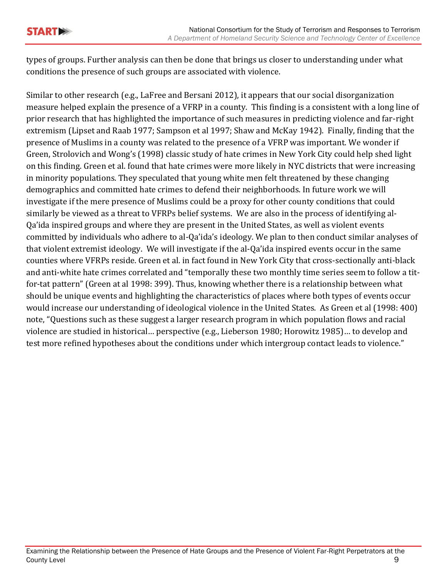types of groups. Further analysis can then be done that brings us closer to understanding under what conditions the presence of such groups are associated with violence.

Similar to other research (e.g., LaFree and Bersani 2012), it appears that our social disorganization measure helped explain the presence of a VFRP in a county. This finding is a consistent with a long line of prior research that has highlighted the importance of such measures in predicting violence and far-right extremism (Lipset and Raab 1977; Sampson et al 1997; Shaw and McKay 1942). Finally, finding that the presence of Muslims in a county was related to the presence of a VFRP was important. We wonder if Green, Strolovich and Wong's (1998) classic study of hate crimes in New York City could help shed light on this finding. Green et al. found that hate crimes were more likely in NYC districts that were increasing in minority populations. They speculated that young white men felt threatened by these changing demographics and committed hate crimes to defend their neighborhoods. In future work we will investigate if the mere presence of Muslims could be a proxy for other county conditions that could similarly be viewed as a threat to VFRPs belief systems. We are also in the process of identifying al-Qa'ida inspired groups and where they are present in the United States, as well as violent events committed by individuals who adhere to al-Qa'ida's ideology. We plan to then conduct similar analyses of that violent extremist ideology. We will investigate if the al-Qa'ida inspired events occur in the same counties where VFRPs reside. Green et al. in fact found in New York City that cross-sectionally anti-black and anti-white hate crimes correlated and "temporally these two monthly time series seem to follow a titfor-tat pattern" (Green at al 1998: 399). Thus, knowing whether there is a relationship between what should be unique events and highlighting the characteristics of places where both types of events occur would increase our understanding of ideological violence in the United States. As Green et al (1998: 400) note, "Questions such as these suggest a larger research program in which population flows and racial violence are studied in historical… perspective (e.g., Lieberson 1980; Horowitz 1985)… to develop and test more refined hypotheses about the conditions under which intergroup contact leads to violence."